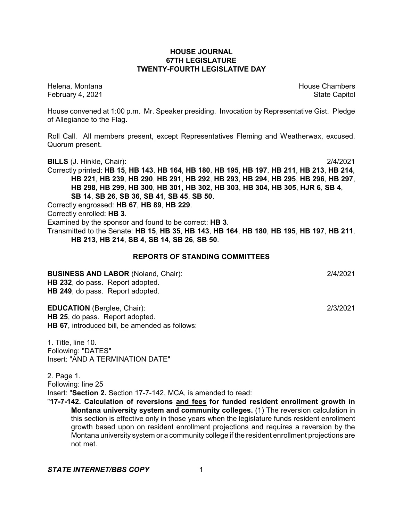# **HOUSE JOURNAL 67TH LEGISLATURE TWENTY-FOURTH LEGISLATIVE DAY**

Helena, Montana House Chambers Chambers Chambers and House Chambers Chambers Chambers Chambers Chambers Chambers February 4, 2021 **State Capitol** 

House convened at 1:00 p.m. Mr. Speaker presiding. Invocation by Representative Gist. Pledge of Allegiance to the Flag.

Roll Call. All members present, except Representatives Fleming and Weatherwax, excused. Quorum present.

**BILLS** (J. Hinkle, Chair): 2/4/2021

Correctly printed: **HB 15**, **HB 143**, **HB 164**, **HB 180**, **HB 195**, **HB 197**, **HB 211**, **HB 213**, **HB 214**, **HB 221**, **HB 239**, **HB 290**, **HB 291**, **HB 292**, **HB 293**, **HB 294**, **HB 295**, **HB 296**, **HB 297**, **HB 298**, **HB 299**, **HB 300**, **HB 301**, **HB 302**, **HB 303**, **HB 304**, **HB 305**, **HJR 6**, **SB 4**, **SB 14**, **SB 26**, **SB 36**, **SB 41**, **SB 45**, **SB 50**.

Correctly engrossed: **HB 67**, **HB 89**, **HB 229**.

Correctly enrolled: **HB 3**.

Examined by the sponsor and found to be correct: **HB 3**.

Transmitted to the Senate: **HB 15**, **HB 35**, **HB 143**, **HB 164**, **HB 180**, **HB 195**, **HB 197**, **HB 211**, **HB 213**, **HB 214**, **SB 4**, **SB 14**, **SB 26**, **SB 50**.

# **REPORTS OF STANDING COMMITTEES**

**BUSINESS AND LABOR** (Noland, Chair): 2/4/2021 **HB 232**, do pass. Report adopted. **HB 249**, do pass. Report adopted.

**EDUCATION** (Berglee, Chair): 2/3/2021

**HB 25**, do pass. Report adopted. **HB 67**, introduced bill, be amended as follows:

1. Title, line 10. Following: "DATES" Insert: "AND A TERMINATION DATE"

2. Page 1. Following: line 25 Insert: "**Section 2.** Section 17-7-142, MCA, is amended to read:

"**17-7-142. Calculation of reversions and fees for funded resident enrollment growth in Montana university system and community colleges.** (1) The reversion calculation in this section is effective only in those years when the legislature funds resident enrollment growth based upon-on resident enrollment projections and requires a reversion by the Montana university system or a community college if the resident enrollment projections are not met.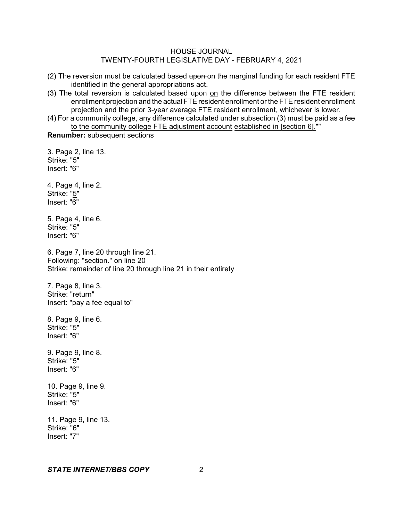- (2) The reversion must be calculated based upon on the marginal funding for each resident FTE identified in the general appropriations act.
- (3) The total reversion is calculated based upon on the difference between the FTE resident enrollment projection and the actual FTE resident enrollment or the FTE resident enrollment projection and the prior 3-year average FTE resident enrollment, whichever is lower.
- (4) For a community college, any difference calculated under subsection (3) must be paid as a fee to the community college FTE adjustment account established in [section 6].""

**Renumber:** subsequent sections

3. Page 2, line 13. Strike: "5" Insert: "6" 4. Page 4, line 2. Strike: "5" Insert: "6" 5. Page 4, line 6. Strike: "5" Insert: "6" 6. Page 7, line 20 through line 21. Following: "section." on line 20 Strike: remainder of line 20 through line 21 in their entirety 7. Page 8, line 3. Strike: "return" Insert: "pay a fee equal to" 8. Page 9, line 6. Strike: "5" Insert: "6" 9. Page 9, line 8. Strike: "5" Insert: "6" 10. Page 9, line 9. Strike: "5" Insert: "6" 11. Page 9, line 13. Strike: "6" Insert: "7"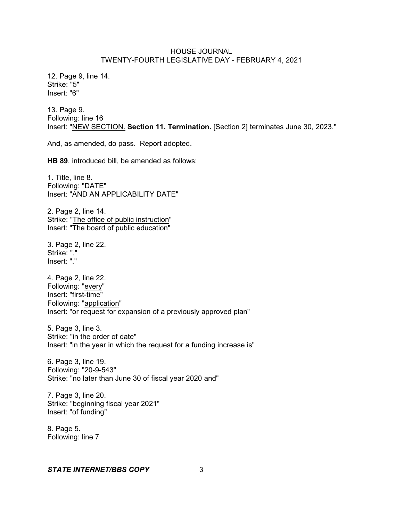12. Page 9, line 14. Strike: "5" Insert: "6"

13. Page 9. Following: line 16 Insert: "NEW SECTION. **Section 11. Termination.** [Section 2] terminates June 30, 2023."

And, as amended, do pass. Report adopted.

**HB 89**, introduced bill, be amended as follows:

1. Title, line 8. Following: "DATE" Insert: "AND AN APPLICABILITY DATE"

2. Page 2, line 14. Strike: "The office of public instruction" Insert: "The board of public education"

3. Page 2, line 22. Strike: "," Insert: "."

4. Page 2, line 22. Following: "every" Insert: "first-time" Following: "application" Insert: "or request for expansion of a previously approved plan"

5. Page 3, line 3. Strike: "in the order of date" Insert: "in the year in which the request for a funding increase is"

6. Page 3, line 19. Following: "20-9-543" Strike: "no later than June 30 of fiscal year 2020 and"

7. Page 3, line 20. Strike: "beginning fiscal year 2021" Insert: "of funding"

8. Page 5. Following: line 7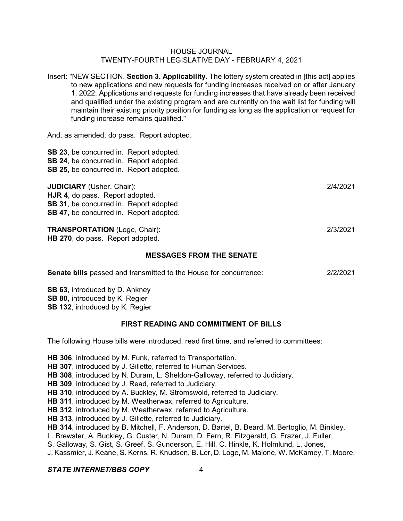Insert: "NEW SECTION. **Section 3. Applicability.** The lottery system created in [this act] applies to new applications and new requests for funding increases received on or after January 1, 2022. Applications and requests for funding increases that have already been received and qualified under the existing program and are currently on the wait list for funding will maintain their existing priority position for funding as long as the application or request for funding increase remains qualified."

And, as amended, do pass. Report adopted.

**SB 23**, be concurred in. Report adopted. **SB 24**, be concurred in. Report adopted. **SB 25**, be concurred in. Report adopted.

**JUDICIARY** (Usher, Chair): 2/4/2021

**HJR 4**, do pass. Report adopted. **SB 31**, be concurred in. Report adopted.

**SB 47**, be concurred in. Report adopted.

**TRANSPORTATION** (Loge, Chair): 2/3/2021 **HB 270**, do pass. Report adopted.

## **MESSAGES FROM THE SENATE**

| <b>Senate bills</b> passed and transmitted to the House for concurrence: | 2/2/2021 |
|--------------------------------------------------------------------------|----------|
|--------------------------------------------------------------------------|----------|

**SB 63**, introduced by D. Ankney **SB 80**, introduced by K. Regier **SB 132**, introduced by K. Regier

## **FIRST READING AND COMMITMENT OF BILLS**

The following House bills were introduced, read first time, and referred to committees:

**HB 306**, introduced by M. Funk, referred to Transportation. **HB 307**, introduced by J. Gillette, referred to Human Services. **HB 308**, introduced by N. Duram, L. Sheldon-Galloway, referred to Judiciary. **HB 309**, introduced by J. Read, referred to Judiciary. **HB 310**, introduced by A. Buckley, M. Stromswold, referred to Judiciary. **HB 311**, introduced by M. Weatherwax, referred to Agriculture. **HB 312**, introduced by M. Weatherwax, referred to Agriculture. **HB 313**, introduced by J. Gillette, referred to Judiciary. **HB 314**, introduced by B. Mitchell, F. Anderson, D. Bartel, B. Beard, M. Bertoglio, M. Binkley, L. Brewster, A. Buckley, G. Custer, N. Duram, D. Fern, R. Fitzgerald, G. Frazer, J. Fuller,

S. Galloway, S. Gist, S. Greef, S. Gunderson, E. Hill, C. Hinkle, K. Holmlund, L. Jones,

J. Kassmier, J. Keane, S. Kerns, R. Knudsen, B. Ler, D. Loge, M. Malone, W. McKamey, T. Moore,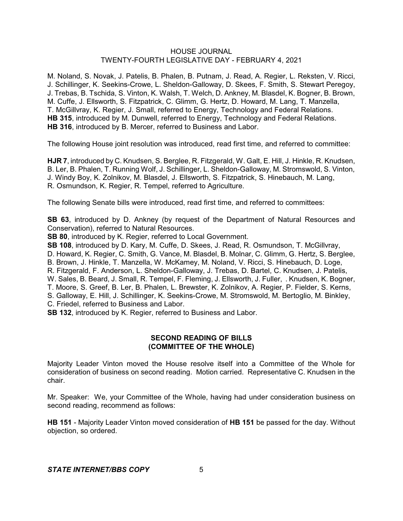M. Noland, S. Novak, J. Patelis, B. Phalen, B. Putnam, J. Read, A. Regier, L. Reksten, V. Ricci, J. Schillinger, K. Seekins-Crowe, L. Sheldon-Galloway, D. Skees, F. Smith, S. Stewart Peregoy, J. Trebas, B. Tschida, S. Vinton, K. Walsh, T. Welch, D. Ankney, M. Blasdel, K. Bogner, B. Brown, M. Cuffe, J. Ellsworth, S. Fitzpatrick, C. Glimm, G. Hertz, D. Howard, M. Lang, T. Manzella, T. McGillvray, K. Regier, J. Small, referred to Energy, Technology and Federal Relations. **HB 315**, introduced by M. Dunwell, referred to Energy, Technology and Federal Relations. **HB 316**, introduced by B. Mercer, referred to Business and Labor.

The following House joint resolution was introduced, read first time, and referred to committee:

**HJR 7**, introduced by C. Knudsen, S. Berglee, R. Fitzgerald, W. Galt, E. Hill, J. Hinkle, R. Knudsen, B. Ler, B. Phalen, T. Running Wolf, J. Schillinger, L. Sheldon-Galloway, M. Stromswold, S. Vinton, J. Windy Boy, K. Zolnikov, M. Blasdel, J. Ellsworth, S. Fitzpatrick, S. Hinebauch, M. Lang, R. Osmundson, K. Regier, R. Tempel, referred to Agriculture.

The following Senate bills were introduced, read first time, and referred to committees:

**SB 63**, introduced by D. Ankney (by request of the Department of Natural Resources and Conservation), referred to Natural Resources.

**SB 80**, introduced by K. Regier, referred to Local Government.

**SB 108**, introduced by D. Kary, M. Cuffe, D. Skees, J. Read, R. Osmundson, T. McGillvray, D. Howard, K. Regier, C. Smith, G. Vance, M. Blasdel, B. Molnar, C. Glimm, G. Hertz, S. Berglee, B. Brown, J. Hinkle, T. Manzella, W. McKamey, M. Noland, V. Ricci, S. Hinebauch, D. Loge, R. Fitzgerald, F. Anderson, L. Sheldon-Galloway, J. Trebas, D. Bartel, C. Knudsen, J. Patelis, W. Sales, B. Beard, J. Small, R. Tempel, F. Fleming, J. Ellsworth, J. Fuller, . Knudsen, K. Bogner, T. Moore, S. Greef, B. Ler, B. Phalen, L. Brewster, K. Zolnikov, A. Regier, P. Fielder, S. Kerns, S. Galloway, E. Hill, J. Schillinger, K. Seekins-Crowe, M. Stromswold, M. Bertoglio, M. Binkley, C. Friedel, referred to Business and Labor.

**SB 132**, introduced by K. Regier, referred to Business and Labor.

# **SECOND READING OF BILLS (COMMITTEE OF THE WHOLE)**

Majority Leader Vinton moved the House resolve itself into a Committee of the Whole for consideration of business on second reading. Motion carried. Representative C. Knudsen in the chair.

Mr. Speaker: We, your Committee of the Whole, having had under consideration business on second reading, recommend as follows:

**HB 151** - Majority Leader Vinton moved consideration of **HB 151** be passed for the day. Without objection, so ordered.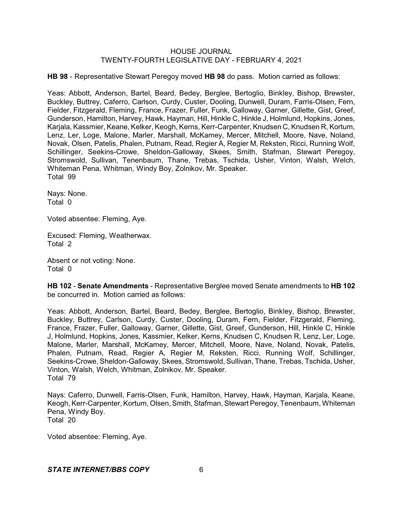**HB 98** - Representative Stewart Peregoy moved **HB 98** do pass. Motion carried as follows:

Yeas: Abbott, Anderson, Bartel, Beard, Bedey, Berglee, Bertoglio, Binkley, Bishop, Brewster, Buckley, Buttrey, Caferro, Carlson, Curdy, Custer, Dooling, Dunwell, Duram, Farris-Olsen, Fern, Fielder, Fitzgerald, Fleming, France, Frazer, Fuller, Funk, Galloway, Garner, Gillette, Gist, Greef, Gunderson, Hamilton, Harvey, Hawk, Hayman, Hill, Hinkle C, Hinkle J, Holmlund, Hopkins, Jones, Karjala, Kassmier, Keane, Kelker, Keogh, Kerns, Kerr-Carpenter, Knudsen C, Knudsen R, Kortum, Lenz, Ler, Loge, Malone, Marler, Marshall, McKamey, Mercer, Mitchell, Moore, Nave, Noland, Novak, Olsen, Patelis, Phalen, Putnam, Read, Regier A, Regier M, Reksten, Ricci, Running Wolf, Schillinger, Seekins-Crowe, Sheldon-Galloway, Skees, Smith, Stafman, Stewart Peregoy, Stromswold, Sullivan, Tenenbaum, Thane, Trebas, Tschida, Usher, Vinton, Walsh, Welch, Whiteman Pena, Whitman, Windy Boy, Zolnikov, Mr. Speaker. Total 99

Nays: None. Total 0

Voted absentee: Fleming, Aye.

Excused: Fleming, Weatherwax. Total 2

Absent or not voting: None. Total 0

**HB 102** - **Senate Amendments** - Representative Berglee moved Senate amendments to **HB 102** be concurred in. Motion carried as follows:

Yeas: Abbott, Anderson, Bartel, Beard, Bedey, Berglee, Bertoglio, Binkley, Bishop, Brewster, Buckley, Buttrey, Carlson, Curdy, Custer, Dooling, Duram, Fern, Fielder, Fitzgerald, Fleming, France, Frazer, Fuller, Galloway, Garner, Gillette, Gist, Greef, Gunderson, Hill, Hinkle C, Hinkle J, Holmlund, Hopkins, Jones, Kassmier, Kelker, Kerns, Knudsen C, Knudsen R, Lenz, Ler, Loge, Malone, Marler, Marshall, McKamey, Mercer, Mitchell, Moore, Nave, Noland, Novak, Patelis, Phalen, Putnam, Read, Regier A, Regier M, Reksten, Ricci, Running Wolf, Schillinger, Seekins-Crowe, Sheldon-Galloway, Skees, Stromswold, Sullivan, Thane, Trebas, Tschida, Usher, Vinton, Walsh, Welch, Whitman, Zolnikov, Mr. Speaker. Total 79

Nays: Caferro, Dunwell, Farris-Olsen, Funk, Hamilton, Harvey, Hawk, Hayman, Karjala, Keane, Keogh, Kerr-Carpenter, Kortum, Olsen, Smith, Stafman, Stewart Peregoy, Tenenbaum, Whiteman Pena, Windy Boy. Total 20

Voted absentee: Fleming, Aye.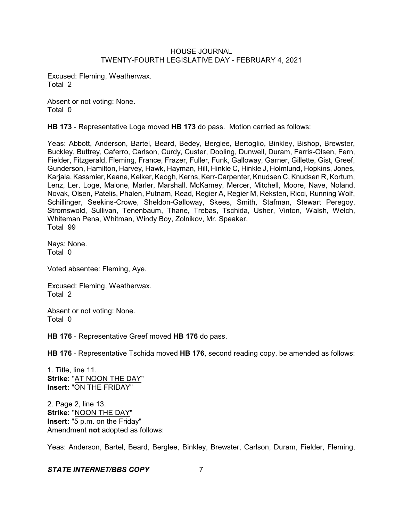Excused: Fleming, Weatherwax. Total 2

Absent or not voting: None. Total 0

**HB 173** - Representative Loge moved **HB 173** do pass. Motion carried as follows:

Yeas: Abbott, Anderson, Bartel, Beard, Bedey, Berglee, Bertoglio, Binkley, Bishop, Brewster, Buckley, Buttrey, Caferro, Carlson, Curdy, Custer, Dooling, Dunwell, Duram, Farris-Olsen, Fern, Fielder, Fitzgerald, Fleming, France, Frazer, Fuller, Funk, Galloway, Garner, Gillette, Gist, Greef, Gunderson, Hamilton, Harvey, Hawk, Hayman, Hill, Hinkle C, Hinkle J, Holmlund, Hopkins, Jones, Karjala, Kassmier, Keane, Kelker, Keogh, Kerns, Kerr-Carpenter, Knudsen C, Knudsen R, Kortum, Lenz, Ler, Loge, Malone, Marler, Marshall, McKamey, Mercer, Mitchell, Moore, Nave, Noland, Novak, Olsen, Patelis, Phalen, Putnam, Read, Regier A, Regier M, Reksten, Ricci, Running Wolf, Schillinger, Seekins-Crowe, Sheldon-Galloway, Skees, Smith, Stafman, Stewart Peregoy, Stromswold, Sullivan, Tenenbaum, Thane, Trebas, Tschida, Usher, Vinton, Walsh, Welch, Whiteman Pena, Whitman, Windy Boy, Zolnikov, Mr. Speaker. Total 99

Nays: None. Total 0

Voted absentee: Fleming, Aye.

Excused: Fleming, Weatherwax. Total 2

Absent or not voting: None. Total 0

**HB 176** - Representative Greef moved **HB 176** do pass.

**HB 176** - Representative Tschida moved **HB 176**, second reading copy, be amended as follows:

1. Title, line 11. **Strike:** "AT NOON THE DAY" **Insert:** "ON THE FRIDAY"

2. Page 2, line 13. **Strike:** "NOON THE DAY" **Insert:** "5 p.m. on the Friday" Amendment **not** adopted as follows:

Yeas: Anderson, Bartel, Beard, Berglee, Binkley, Brewster, Carlson, Duram, Fielder, Fleming,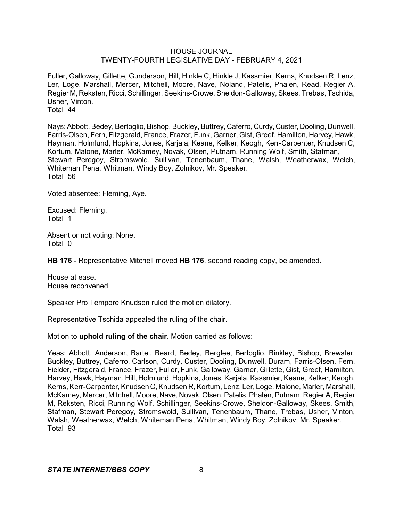Fuller, Galloway, Gillette, Gunderson, Hill, Hinkle C, Hinkle J, Kassmier, Kerns, Knudsen R, Lenz, Ler, Loge, Marshall, Mercer, Mitchell, Moore, Nave, Noland, Patelis, Phalen, Read, Regier A, Regier M, Reksten, Ricci, Schillinger, Seekins-Crowe, Sheldon-Galloway, Skees, Trebas, Tschida, Usher, Vinton.

Total 44

Nays: Abbott, Bedey, Bertoglio, Bishop, Buckley, Buttrey, Caferro, Curdy, Custer, Dooling, Dunwell, Farris-Olsen, Fern, Fitzgerald, France, Frazer, Funk, Garner, Gist, Greef, Hamilton, Harvey, Hawk, Hayman, Holmlund, Hopkins, Jones, Karjala, Keane, Kelker, Keogh, Kerr-Carpenter, Knudsen C, Kortum, Malone, Marler, McKamey, Novak, Olsen, Putnam, Running Wolf, Smith, Stafman, Stewart Peregoy, Stromswold, Sullivan, Tenenbaum, Thane, Walsh, Weatherwax, Welch, Whiteman Pena, Whitman, Windy Boy, Zolnikov, Mr. Speaker. Total 56

Voted absentee: Fleming, Aye.

Excused: Fleming. Total 1

Absent or not voting: None. Total 0

**HB 176** - Representative Mitchell moved **HB 176**, second reading copy, be amended.

House at ease. House reconvened.

Speaker Pro Tempore Knudsen ruled the motion dilatory.

Representative Tschida appealed the ruling of the chair.

Motion to **uphold ruling of the chair**. Motion carried as follows:

Yeas: Abbott, Anderson, Bartel, Beard, Bedey, Berglee, Bertoglio, Binkley, Bishop, Brewster, Buckley, Buttrey, Caferro, Carlson, Curdy, Custer, Dooling, Dunwell, Duram, Farris-Olsen, Fern, Fielder, Fitzgerald, France, Frazer, Fuller, Funk, Galloway, Garner, Gillette, Gist, Greef, Hamilton, Harvey, Hawk, Hayman, Hill, Holmlund, Hopkins, Jones, Karjala, Kassmier, Keane, Kelker, Keogh, Kerns, Kerr-Carpenter, Knudsen C, Knudsen R, Kortum, Lenz, Ler, Loge, Malone, Marler, Marshall, McKamey, Mercer, Mitchell, Moore, Nave, Novak, Olsen, Patelis,Phalen, Putnam, Regier A, Regier M, Reksten, Ricci, Running Wolf, Schillinger, Seekins-Crowe, Sheldon-Galloway, Skees, Smith, Stafman, Stewart Peregoy, Stromswold, Sullivan, Tenenbaum, Thane, Trebas, Usher, Vinton, Walsh, Weatherwax, Welch, Whiteman Pena, Whitman, Windy Boy, Zolnikov, Mr. Speaker. Total 93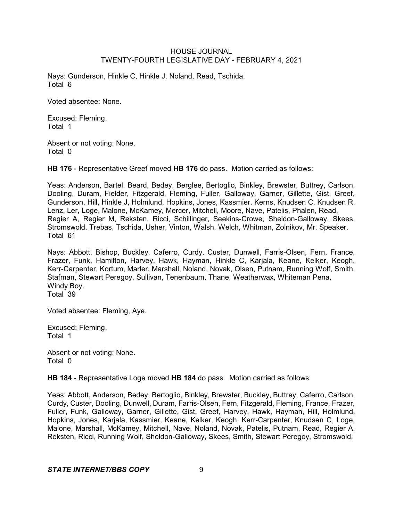Nays: Gunderson, Hinkle C, Hinkle J, Noland, Read, Tschida. Total 6

Voted absentee: None.

Excused: Fleming. Total 1

Absent or not voting: None. Total 0

**HB 176** - Representative Greef moved **HB 176** do pass. Motion carried as follows:

Yeas: Anderson, Bartel, Beard, Bedey, Berglee, Bertoglio, Binkley, Brewster, Buttrey, Carlson, Dooling, Duram, Fielder, Fitzgerald, Fleming, Fuller, Galloway, Garner, Gillette, Gist, Greef, Gunderson, Hill, Hinkle J, Holmlund, Hopkins, Jones, Kassmier, Kerns, Knudsen C, Knudsen R, Lenz, Ler, Loge, Malone, McKamey, Mercer, Mitchell, Moore, Nave, Patelis, Phalen, Read, Regier A, Regier M, Reksten, Ricci, Schillinger, Seekins-Crowe, Sheldon-Galloway, Skees, Stromswold, Trebas, Tschida, Usher, Vinton, Walsh, Welch, Whitman, Zolnikov, Mr. Speaker. Total 61

Nays: Abbott, Bishop, Buckley, Caferro, Curdy, Custer, Dunwell, Farris-Olsen, Fern, France, Frazer, Funk, Hamilton, Harvey, Hawk, Hayman, Hinkle C, Karjala, Keane, Kelker, Keogh, Kerr-Carpenter, Kortum, Marler, Marshall, Noland, Novak, Olsen, Putnam, Running Wolf, Smith, Stafman, Stewart Peregoy, Sullivan, Tenenbaum, Thane, Weatherwax, Whiteman Pena, Windy Boy. Total 39

Voted absentee: Fleming, Aye.

Excused: Fleming. Total 1

Absent or not voting: None. Total 0

**HB 184** - Representative Loge moved **HB 184** do pass. Motion carried as follows:

Yeas: Abbott, Anderson, Bedey, Bertoglio, Binkley, Brewster, Buckley, Buttrey, Caferro, Carlson, Curdy, Custer, Dooling, Dunwell, Duram, Farris-Olsen, Fern, Fitzgerald, Fleming, France, Frazer, Fuller, Funk, Galloway, Garner, Gillette, Gist, Greef, Harvey, Hawk, Hayman, Hill, Holmlund, Hopkins, Jones, Karjala, Kassmier, Keane, Kelker, Keogh, Kerr-Carpenter, Knudsen C, Loge, Malone, Marshall, McKamey, Mitchell, Nave, Noland, Novak, Patelis, Putnam, Read, Regier A, Reksten, Ricci, Running Wolf, Sheldon-Galloway, Skees, Smith, Stewart Peregoy, Stromswold,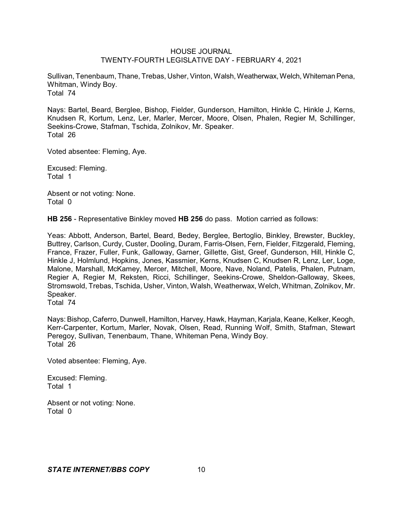Sullivan, Tenenbaum, Thane, Trebas, Usher, Vinton, Walsh, Weatherwax, Welch, Whiteman Pena, Whitman, Windy Boy. Total 74

Nays: Bartel, Beard, Berglee, Bishop, Fielder, Gunderson, Hamilton, Hinkle C, Hinkle J, Kerns, Knudsen R, Kortum, Lenz, Ler, Marler, Mercer, Moore, Olsen, Phalen, Regier M, Schillinger, Seekins-Crowe, Stafman, Tschida, Zolnikov, Mr. Speaker. Total 26

Voted absentee: Fleming, Aye.

Excused: Fleming. Total 1

Absent or not voting: None. Total 0

**HB 256** - Representative Binkley moved **HB 256** do pass. Motion carried as follows:

Yeas: Abbott, Anderson, Bartel, Beard, Bedey, Berglee, Bertoglio, Binkley, Brewster, Buckley, Buttrey, Carlson, Curdy, Custer, Dooling, Duram, Farris-Olsen, Fern, Fielder, Fitzgerald, Fleming, France, Frazer, Fuller, Funk, Galloway, Garner, Gillette, Gist, Greef, Gunderson, Hill, Hinkle C, Hinkle J, Holmlund, Hopkins, Jones, Kassmier, Kerns, Knudsen C, Knudsen R, Lenz, Ler, Loge, Malone, Marshall, McKamey, Mercer, Mitchell, Moore, Nave, Noland, Patelis, Phalen, Putnam, Regier A, Regier M, Reksten, Ricci, Schillinger, Seekins-Crowe, Sheldon-Galloway, Skees, Stromswold, Trebas, Tschida, Usher, Vinton, Walsh, Weatherwax, Welch, Whitman, Zolnikov, Mr. Speaker.

Total 74

Nays: Bishop, Caferro, Dunwell, Hamilton, Harvey, Hawk, Hayman, Karjala, Keane, Kelker, Keogh, Kerr-Carpenter, Kortum, Marler, Novak, Olsen, Read, Running Wolf, Smith, Stafman, Stewart Peregoy, Sullivan, Tenenbaum, Thane, Whiteman Pena, Windy Boy. Total 26

Voted absentee: Fleming, Aye.

Excused: Fleming. Total 1

Absent or not voting: None. Total 0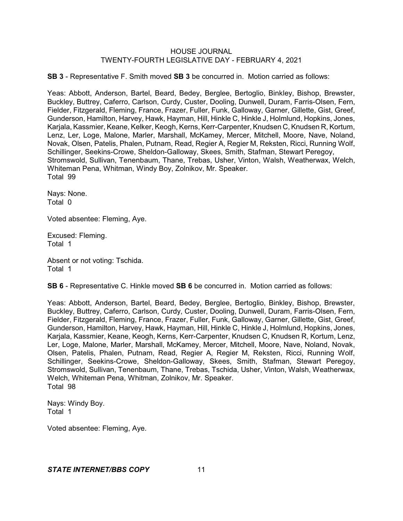**SB 3** - Representative F. Smith moved **SB 3** be concurred in. Motion carried as follows:

Yeas: Abbott, Anderson, Bartel, Beard, Bedey, Berglee, Bertoglio, Binkley, Bishop, Brewster, Buckley, Buttrey, Caferro, Carlson, Curdy, Custer, Dooling, Dunwell, Duram, Farris-Olsen, Fern, Fielder, Fitzgerald, Fleming, France, Frazer, Fuller, Funk, Galloway, Garner, Gillette, Gist, Greef, Gunderson, Hamilton, Harvey, Hawk, Hayman, Hill, Hinkle C, Hinkle J, Holmlund, Hopkins, Jones, Karjala, Kassmier, Keane, Kelker, Keogh, Kerns, Kerr-Carpenter, Knudsen C, Knudsen R, Kortum, Lenz, Ler, Loge, Malone, Marler, Marshall, McKamey, Mercer, Mitchell, Moore, Nave, Noland, Novak, Olsen, Patelis, Phalen, Putnam, Read, Regier A, Regier M, Reksten, Ricci, Running Wolf, Schillinger, Seekins-Crowe, Sheldon-Galloway, Skees, Smith, Stafman, Stewart Peregoy, Stromswold, Sullivan, Tenenbaum, Thane, Trebas, Usher, Vinton, Walsh, Weatherwax, Welch, Whiteman Pena, Whitman, Windy Boy, Zolnikov, Mr. Speaker. Total 99

Nays: None. Total 0

Voted absentee: Fleming, Aye.

Excused: Fleming. Total 1

Absent or not voting: Tschida. Total 1

**SB 6** - Representative C. Hinkle moved **SB 6** be concurred in. Motion carried as follows:

Yeas: Abbott, Anderson, Bartel, Beard, Bedey, Berglee, Bertoglio, Binkley, Bishop, Brewster, Buckley, Buttrey, Caferro, Carlson, Curdy, Custer, Dooling, Dunwell, Duram, Farris-Olsen, Fern, Fielder, Fitzgerald, Fleming, France, Frazer, Fuller, Funk, Galloway, Garner, Gillette, Gist, Greef, Gunderson, Hamilton, Harvey, Hawk, Hayman, Hill, Hinkle C, Hinkle J, Holmlund, Hopkins, Jones, Karjala, Kassmier, Keane, Keogh, Kerns, Kerr-Carpenter, Knudsen C, Knudsen R, Kortum, Lenz, Ler, Loge, Malone, Marler, Marshall, McKamey, Mercer, Mitchell, Moore, Nave, Noland, Novak, Olsen, Patelis, Phalen, Putnam, Read, Regier A, Regier M, Reksten, Ricci, Running Wolf, Schillinger, Seekins-Crowe, Sheldon-Galloway, Skees, Smith, Stafman, Stewart Peregoy, Stromswold, Sullivan, Tenenbaum, Thane, Trebas, Tschida, Usher, Vinton, Walsh, Weatherwax, Welch, Whiteman Pena, Whitman, Zolnikov, Mr. Speaker. Total 98

Nays: Windy Boy. Total 1

Voted absentee: Fleming, Aye.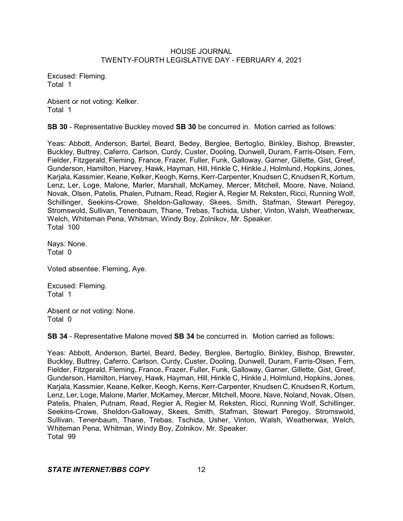Excused: Fleming. Total 1

Absent or not voting: Kelker. Total 1

**SB 30** - Representative Buckley moved **SB 30** be concurred in. Motion carried as follows:

Yeas: Abbott, Anderson, Bartel, Beard, Bedey, Berglee, Bertoglio, Binkley, Bishop, Brewster, Buckley, Buttrey, Caferro, Carlson, Curdy, Custer, Dooling, Dunwell, Duram, Farris-Olsen, Fern, Fielder, Fitzgerald, Fleming, France, Frazer, Fuller, Funk, Galloway, Garner, Gillette, Gist, Greef, Gunderson, Hamilton, Harvey, Hawk, Hayman, Hill, Hinkle C, Hinkle J, Holmlund, Hopkins, Jones, Karjala, Kassmier, Keane, Kelker, Keogh, Kerns, Kerr-Carpenter, Knudsen C, Knudsen R, Kortum, Lenz, Ler, Loge, Malone, Marler, Marshall, McKamey, Mercer, Mitchell, Moore, Nave, Noland, Novak, Olsen, Patelis, Phalen, Putnam, Read, Regier A, Regier M, Reksten, Ricci, Running Wolf, Schillinger, Seekins-Crowe, Sheldon-Galloway, Skees, Smith, Stafman, Stewart Peregoy, Stromswold, Sullivan, Tenenbaum, Thane, Trebas, Tschida, Usher, Vinton, Walsh, Weatherwax, Welch, Whiteman Pena, Whitman, Windy Boy, Zolnikov, Mr. Speaker. Total 100

Nays: None. Total 0

Voted absentee: Fleming, Aye.

Excused: Fleming. Total 1

Absent or not voting: None. Total 0

**SB 34** - Representative Malone moved **SB 34** be concurred in. Motion carried as follows:

Yeas: Abbott, Anderson, Bartel, Beard, Bedey, Berglee, Bertoglio, Binkley, Bishop, Brewster, Buckley, Buttrey, Caferro, Carlson, Curdy, Custer, Dooling, Dunwell, Duram, Farris-Olsen, Fern, Fielder, Fitzgerald, Fleming, France, Frazer, Fuller, Funk, Galloway, Garner, Gillette, Gist, Greef, Gunderson, Hamilton, Harvey, Hawk, Hayman, Hill, Hinkle C, Hinkle J, Holmlund, Hopkins, Jones, Karjala, Kassmier, Keane, Kelker, Keogh, Kerns, Kerr-Carpenter, Knudsen C, Knudsen R, Kortum, Lenz, Ler, Loge, Malone, Marler, McKamey, Mercer, Mitchell, Moore, Nave, Noland, Novak, Olsen, Patelis, Phalen, Putnam, Read, Regier A, Regier M, Reksten, Ricci, Running Wolf, Schillinger, Seekins-Crowe, Sheldon-Galloway, Skees, Smith, Stafman, Stewart Peregoy, Stromswold, Sullivan, Tenenbaum, Thane, Trebas, Tschida, Usher, Vinton, Walsh, Weatherwax, Welch, Whiteman Pena, Whitman, Windy Boy, Zolnikov, Mr. Speaker. Total 99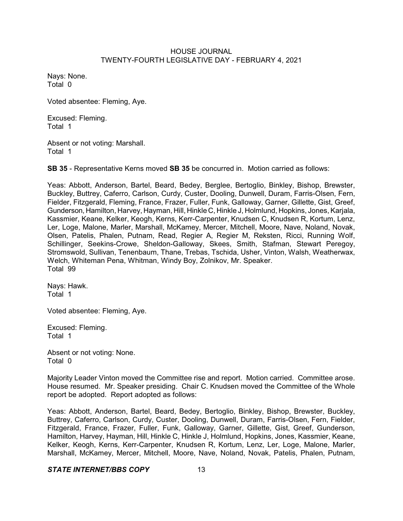Nays: None. Total 0

Voted absentee: Fleming, Aye.

Excused: Fleming. Total 1

Absent or not voting: Marshall. Total 1

**SB 35** - Representative Kerns moved **SB 35** be concurred in. Motion carried as follows:

Yeas: Abbott, Anderson, Bartel, Beard, Bedey, Berglee, Bertoglio, Binkley, Bishop, Brewster, Buckley, Buttrey, Caferro, Carlson, Curdy, Custer, Dooling, Dunwell, Duram, Farris-Olsen, Fern, Fielder, Fitzgerald, Fleming, France, Frazer, Fuller, Funk, Galloway, Garner, Gillette, Gist, Greef, Gunderson, Hamilton, Harvey, Hayman, Hill, Hinkle C, Hinkle J, Holmlund, Hopkins, Jones, Karjala, Kassmier, Keane, Kelker, Keogh, Kerns, Kerr-Carpenter, Knudsen C, Knudsen R, Kortum, Lenz, Ler, Loge, Malone, Marler, Marshall, McKamey, Mercer, Mitchell, Moore, Nave, Noland, Novak, Olsen, Patelis, Phalen, Putnam, Read, Regier A, Regier M, Reksten, Ricci, Running Wolf, Schillinger, Seekins-Crowe, Sheldon-Galloway, Skees, Smith, Stafman, Stewart Peregoy, Stromswold, Sullivan, Tenenbaum, Thane, Trebas, Tschida, Usher, Vinton, Walsh, Weatherwax, Welch, Whiteman Pena, Whitman, Windy Boy, Zolnikov, Mr. Speaker. Total 99

Nays: Hawk. Total 1

Voted absentee: Fleming, Aye.

Excused: Fleming. Total 1

Absent or not voting: None. Total 0

Majority Leader Vinton moved the Committee rise and report. Motion carried. Committee arose. House resumed. Mr. Speaker presiding. Chair C. Knudsen moved the Committee of the Whole report be adopted. Report adopted as follows:

Yeas: Abbott, Anderson, Bartel, Beard, Bedey, Bertoglio, Binkley, Bishop, Brewster, Buckley, Buttrey, Caferro, Carlson, Curdy, Custer, Dooling, Dunwell, Duram, Farris-Olsen, Fern, Fielder, Fitzgerald, France, Frazer, Fuller, Funk, Galloway, Garner, Gillette, Gist, Greef, Gunderson, Hamilton, Harvey, Hayman, Hill, Hinkle C, Hinkle J, Holmlund, Hopkins, Jones, Kassmier, Keane, Kelker, Keogh, Kerns, Kerr-Carpenter, Knudsen R, Kortum, Lenz, Ler, Loge, Malone, Marler, Marshall, McKamey, Mercer, Mitchell, Moore, Nave, Noland, Novak, Patelis, Phalen, Putnam,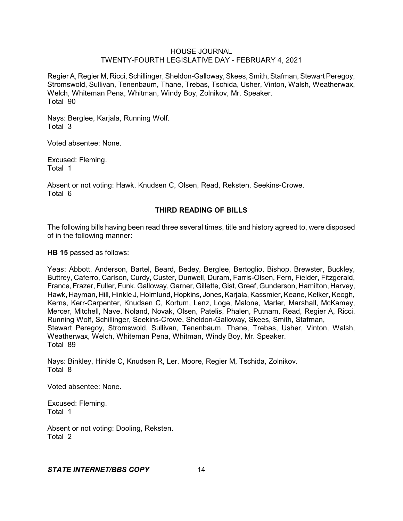Regier A, Regier M, Ricci, Schillinger, Sheldon-Galloway, Skees, Smith, Stafman, Stewart Peregoy, Stromswold, Sullivan, Tenenbaum, Thane, Trebas, Tschida, Usher, Vinton, Walsh, Weatherwax, Welch, Whiteman Pena, Whitman, Windy Boy, Zolnikov, Mr. Speaker. Total 90

Nays: Berglee, Karjala, Running Wolf. Total 3

Voted absentee: None.

Excused: Fleming. Total 1

Absent or not voting: Hawk, Knudsen C, Olsen, Read, Reksten, Seekins-Crowe. Total 6

# **THIRD READING OF BILLS**

The following bills having been read three several times, title and history agreed to, were disposed of in the following manner:

**HB 15** passed as follows:

Yeas: Abbott, Anderson, Bartel, Beard, Bedey, Berglee, Bertoglio, Bishop, Brewster, Buckley, Buttrey, Caferro, Carlson, Curdy, Custer, Dunwell, Duram, Farris-Olsen, Fern, Fielder, Fitzgerald, France, Frazer, Fuller, Funk, Galloway, Garner, Gillette, Gist, Greef, Gunderson, Hamilton, Harvey, Hawk, Hayman, Hill, Hinkle J, Holmlund, Hopkins, Jones, Karjala, Kassmier, Keane, Kelker, Keogh, Kerns, Kerr-Carpenter, Knudsen C, Kortum, Lenz, Loge, Malone, Marler, Marshall, McKamey, Mercer, Mitchell, Nave, Noland, Novak, Olsen, Patelis, Phalen, Putnam, Read, Regier A, Ricci, Running Wolf, Schillinger, Seekins-Crowe, Sheldon-Galloway, Skees, Smith, Stafman, Stewart Peregoy, Stromswold, Sullivan, Tenenbaum, Thane, Trebas, Usher, Vinton, Walsh, Weatherwax, Welch, Whiteman Pena, Whitman, Windy Boy, Mr. Speaker. Total 89

Nays: Binkley, Hinkle C, Knudsen R, Ler, Moore, Regier M, Tschida, Zolnikov. Total 8

Voted absentee: None.

Excused: Fleming. Total 1

Absent or not voting: Dooling, Reksten. Total 2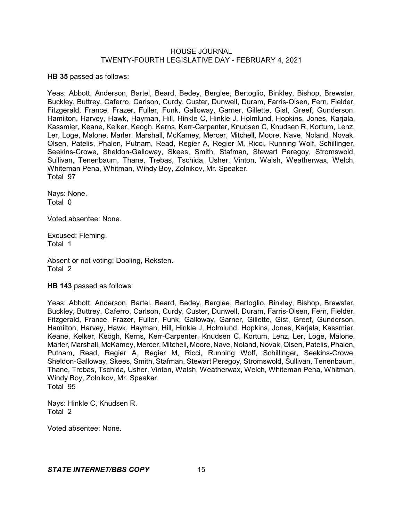**HB 35** passed as follows:

Yeas: Abbott, Anderson, Bartel, Beard, Bedey, Berglee, Bertoglio, Binkley, Bishop, Brewster, Buckley, Buttrey, Caferro, Carlson, Curdy, Custer, Dunwell, Duram, Farris-Olsen, Fern, Fielder, Fitzgerald, France, Frazer, Fuller, Funk, Galloway, Garner, Gillette, Gist, Greef, Gunderson, Hamilton, Harvey, Hawk, Hayman, Hill, Hinkle C, Hinkle J, Holmlund, Hopkins, Jones, Karjala, Kassmier, Keane, Kelker, Keogh, Kerns, Kerr-Carpenter, Knudsen C, Knudsen R, Kortum, Lenz, Ler, Loge, Malone, Marler, Marshall, McKamey, Mercer, Mitchell, Moore, Nave, Noland, Novak, Olsen, Patelis, Phalen, Putnam, Read, Regier A, Regier M, Ricci, Running Wolf, Schillinger, Seekins-Crowe, Sheldon-Galloway, Skees, Smith, Stafman, Stewart Peregoy, Stromswold, Sullivan, Tenenbaum, Thane, Trebas, Tschida, Usher, Vinton, Walsh, Weatherwax, Welch, Whiteman Pena, Whitman, Windy Boy, Zolnikov, Mr. Speaker. Total 97

Nays: None. Total 0

Voted absentee: None.

Excused: Fleming. Total 1

Absent or not voting: Dooling, Reksten. Total 2

**HB 143** passed as follows:

Yeas: Abbott, Anderson, Bartel, Beard, Bedey, Berglee, Bertoglio, Binkley, Bishop, Brewster, Buckley, Buttrey, Caferro, Carlson, Curdy, Custer, Dunwell, Duram, Farris-Olsen, Fern, Fielder, Fitzgerald, France, Frazer, Fuller, Funk, Galloway, Garner, Gillette, Gist, Greef, Gunderson, Hamilton, Harvey, Hawk, Hayman, Hill, Hinkle J, Holmlund, Hopkins, Jones, Karjala, Kassmier, Keane, Kelker, Keogh, Kerns, Kerr-Carpenter, Knudsen C, Kortum, Lenz, Ler, Loge, Malone, Marler, Marshall, McKamey, Mercer, Mitchell, Moore, Nave, Noland, Novak, Olsen, Patelis, Phalen, Putnam, Read, Regier A, Regier M, Ricci, Running Wolf, Schillinger, Seekins-Crowe, Sheldon-Galloway, Skees, Smith, Stafman, Stewart Peregoy, Stromswold, Sullivan, Tenenbaum, Thane, Trebas, Tschida, Usher, Vinton, Walsh, Weatherwax, Welch, Whiteman Pena, Whitman, Windy Boy, Zolnikov, Mr. Speaker. Total 95

Nays: Hinkle C, Knudsen R. Total 2

Voted absentee: None.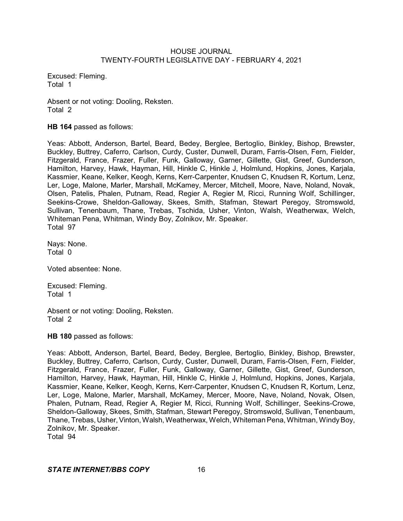Excused: Fleming. Total 1

Absent or not voting: Dooling, Reksten. Total 2

**HB 164** passed as follows:

Yeas: Abbott, Anderson, Bartel, Beard, Bedey, Berglee, Bertoglio, Binkley, Bishop, Brewster, Buckley, Buttrey, Caferro, Carlson, Curdy, Custer, Dunwell, Duram, Farris-Olsen, Fern, Fielder, Fitzgerald, France, Frazer, Fuller, Funk, Galloway, Garner, Gillette, Gist, Greef, Gunderson, Hamilton, Harvey, Hawk, Hayman, Hill, Hinkle C, Hinkle J, Holmlund, Hopkins, Jones, Karjala, Kassmier, Keane, Kelker, Keogh, Kerns, Kerr-Carpenter, Knudsen C, Knudsen R, Kortum, Lenz, Ler, Loge, Malone, Marler, Marshall, McKamey, Mercer, Mitchell, Moore, Nave, Noland, Novak, Olsen, Patelis, Phalen, Putnam, Read, Regier A, Regier M, Ricci, Running Wolf, Schillinger, Seekins-Crowe, Sheldon-Galloway, Skees, Smith, Stafman, Stewart Peregoy, Stromswold, Sullivan, Tenenbaum, Thane, Trebas, Tschida, Usher, Vinton, Walsh, Weatherwax, Welch, Whiteman Pena, Whitman, Windy Boy, Zolnikov, Mr. Speaker. Total 97

Nays: None. Total 0

Voted absentee: None.

Excused: Fleming. Total 1

Absent or not voting: Dooling, Reksten. Total 2

**HB 180** passed as follows:

Yeas: Abbott, Anderson, Bartel, Beard, Bedey, Berglee, Bertoglio, Binkley, Bishop, Brewster, Buckley, Buttrey, Caferro, Carlson, Curdy, Custer, Dunwell, Duram, Farris-Olsen, Fern, Fielder, Fitzgerald, France, Frazer, Fuller, Funk, Galloway, Garner, Gillette, Gist, Greef, Gunderson, Hamilton, Harvey, Hawk, Hayman, Hill, Hinkle C, Hinkle J, Holmlund, Hopkins, Jones, Karjala, Kassmier, Keane, Kelker, Keogh, Kerns, Kerr-Carpenter, Knudsen C, Knudsen R, Kortum, Lenz, Ler, Loge, Malone, Marler, Marshall, McKamey, Mercer, Moore, Nave, Noland, Novak, Olsen, Phalen, Putnam, Read, Regier A, Regier M, Ricci, Running Wolf, Schillinger, Seekins-Crowe, Sheldon-Galloway, Skees, Smith, Stafman, Stewart Peregoy, Stromswold, Sullivan, Tenenbaum, Thane, Trebas, Usher, Vinton, Walsh, Weatherwax, Welch, Whiteman Pena, Whitman, Windy Boy, Zolnikov, Mr. Speaker. Total 94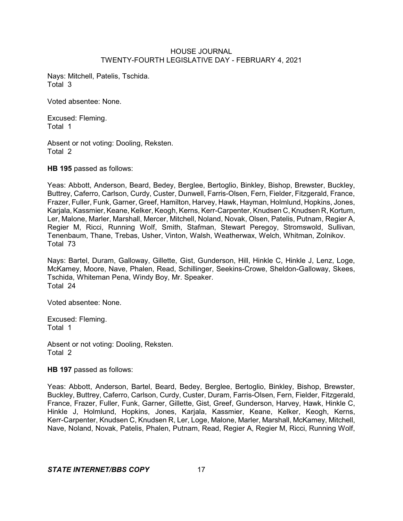Nays: Mitchell, Patelis, Tschida. Total 3

Voted absentee: None.

Excused: Fleming. Total 1

Absent or not voting: Dooling, Reksten. Total 2

**HB 195** passed as follows:

Yeas: Abbott, Anderson, Beard, Bedey, Berglee, Bertoglio, Binkley, Bishop, Brewster, Buckley, Buttrey, Caferro, Carlson, Curdy, Custer, Dunwell, Farris-Olsen, Fern, Fielder, Fitzgerald, France, Frazer, Fuller, Funk, Garner, Greef, Hamilton, Harvey, Hawk, Hayman, Holmlund, Hopkins, Jones, Karjala, Kassmier, Keane, Kelker, Keogh, Kerns, Kerr-Carpenter, Knudsen C, Knudsen R, Kortum, Ler, Malone, Marler, Marshall, Mercer, Mitchell, Noland, Novak, Olsen, Patelis, Putnam, Regier A, Regier M, Ricci, Running Wolf, Smith, Stafman, Stewart Peregoy, Stromswold, Sullivan, Tenenbaum, Thane, Trebas, Usher, Vinton, Walsh, Weatherwax, Welch, Whitman, Zolnikov. Total 73

Nays: Bartel, Duram, Galloway, Gillette, Gist, Gunderson, Hill, Hinkle C, Hinkle J, Lenz, Loge, McKamey, Moore, Nave, Phalen, Read, Schillinger, Seekins-Crowe, Sheldon-Galloway, Skees, Tschida, Whiteman Pena, Windy Boy, Mr. Speaker. Total 24

Voted absentee: None.

Excused: Fleming. Total 1

Absent or not voting: Dooling, Reksten. Total 2

**HB 197** passed as follows:

Yeas: Abbott, Anderson, Bartel, Beard, Bedey, Berglee, Bertoglio, Binkley, Bishop, Brewster, Buckley, Buttrey, Caferro, Carlson, Curdy, Custer, Duram, Farris-Olsen, Fern, Fielder, Fitzgerald, France, Frazer, Fuller, Funk, Garner, Gillette, Gist, Greef, Gunderson, Harvey, Hawk, Hinkle C, Hinkle J, Holmlund, Hopkins, Jones, Karjala, Kassmier, Keane, Kelker, Keogh, Kerns, Kerr-Carpenter, Knudsen C, Knudsen R, Ler, Loge, Malone, Marler, Marshall, McKamey, Mitchell, Nave, Noland, Novak, Patelis, Phalen, Putnam, Read, Regier A, Regier M, Ricci, Running Wolf,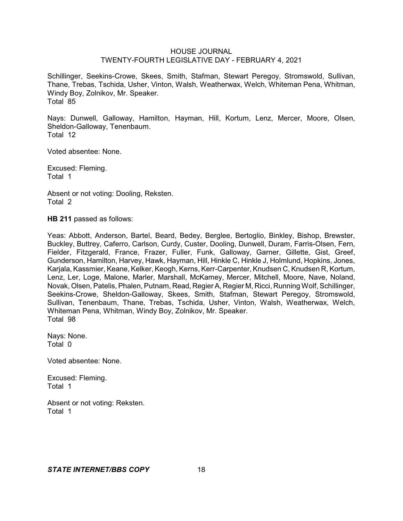Schillinger, Seekins-Crowe, Skees, Smith, Stafman, Stewart Peregoy, Stromswold, Sullivan, Thane, Trebas, Tschida, Usher, Vinton, Walsh, Weatherwax, Welch, Whiteman Pena, Whitman, Windy Boy, Zolnikov, Mr. Speaker. Total 85

Nays: Dunwell, Galloway, Hamilton, Hayman, Hill, Kortum, Lenz, Mercer, Moore, Olsen, Sheldon-Galloway, Tenenbaum. Total 12

Voted absentee: None.

Excused: Fleming. Total 1

Absent or not voting: Dooling, Reksten. Total 2

**HB 211** passed as follows:

Yeas: Abbott, Anderson, Bartel, Beard, Bedey, Berglee, Bertoglio, Binkley, Bishop, Brewster, Buckley, Buttrey, Caferro, Carlson, Curdy, Custer, Dooling, Dunwell, Duram, Farris-Olsen, Fern, Fielder, Fitzgerald, France, Frazer, Fuller, Funk, Galloway, Garner, Gillette, Gist, Greef, Gunderson, Hamilton, Harvey, Hawk, Hayman, Hill, Hinkle C, Hinkle J, Holmlund, Hopkins, Jones, Karjala, Kassmier, Keane, Kelker, Keogh, Kerns, Kerr-Carpenter, Knudsen C, Knudsen R, Kortum, Lenz, Ler, Loge, Malone, Marler, Marshall, McKamey, Mercer, Mitchell, Moore, Nave, Noland, Novak, Olsen, Patelis, Phalen, Putnam, Read, RegierA, Regier M, Ricci, Running Wolf, Schillinger, Seekins-Crowe, Sheldon-Galloway, Skees, Smith, Stafman, Stewart Peregoy, Stromswold, Sullivan, Tenenbaum, Thane, Trebas, Tschida, Usher, Vinton, Walsh, Weatherwax, Welch, Whiteman Pena, Whitman, Windy Boy, Zolnikov, Mr. Speaker. Total 98

Nays: None. Total 0

Voted absentee: None.

Excused: Fleming. Total 1

Absent or not voting: Reksten. Total 1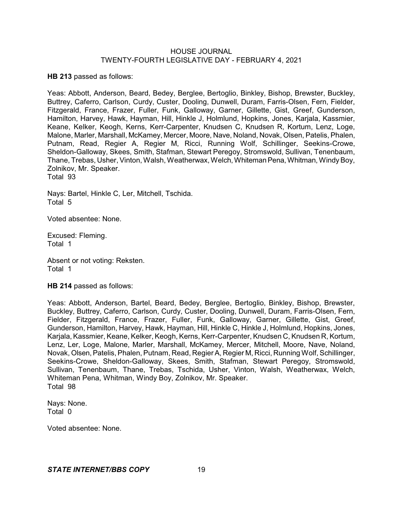**HB 213** passed as follows:

Yeas: Abbott, Anderson, Beard, Bedey, Berglee, Bertoglio, Binkley, Bishop, Brewster, Buckley, Buttrey, Caferro, Carlson, Curdy, Custer, Dooling, Dunwell, Duram, Farris-Olsen, Fern, Fielder, Fitzgerald, France, Frazer, Fuller, Funk, Galloway, Garner, Gillette, Gist, Greef, Gunderson, Hamilton, Harvey, Hawk, Hayman, Hill, Hinkle J, Holmlund, Hopkins, Jones, Karjala, Kassmier, Keane, Kelker, Keogh, Kerns, Kerr-Carpenter, Knudsen C, Knudsen R, Kortum, Lenz, Loge, Malone, Marler, Marshall, McKamey, Mercer, Moore, Nave, Noland, Novak, Olsen, Patelis, Phalen, Putnam, Read, Regier A, Regier M, Ricci, Running Wolf, Schillinger, Seekins-Crowe, Sheldon-Galloway, Skees, Smith, Stafman, Stewart Peregoy, Stromswold, Sullivan, Tenenbaum, Thane, Trebas, Usher, Vinton, Walsh, Weatherwax, Welch, Whiteman Pena, Whitman, Windy Boy, Zolnikov, Mr. Speaker. Total 93

Nays: Bartel, Hinkle C, Ler, Mitchell, Tschida. Total 5

Voted absentee: None.

Excused: Fleming. Total 1

Absent or not voting: Reksten. Total 1

**HB 214** passed as follows:

Yeas: Abbott, Anderson, Bartel, Beard, Bedey, Berglee, Bertoglio, Binkley, Bishop, Brewster, Buckley, Buttrey, Caferro, Carlson, Curdy, Custer, Dooling, Dunwell, Duram, Farris-Olsen, Fern, Fielder, Fitzgerald, France, Frazer, Fuller, Funk, Galloway, Garner, Gillette, Gist, Greef, Gunderson, Hamilton, Harvey, Hawk, Hayman, Hill, Hinkle C, Hinkle J, Holmlund, Hopkins, Jones, Karjala, Kassmier, Keane, Kelker, Keogh, Kerns, Kerr-Carpenter, Knudsen C, Knudsen R, Kortum, Lenz, Ler, Loge, Malone, Marler, Marshall, McKamey, Mercer, Mitchell, Moore, Nave, Noland, Novak, Olsen,Patelis, Phalen, Putnam, Read, RegierA, Regier M, Ricci, Running Wolf, Schillinger, Seekins-Crowe, Sheldon-Galloway, Skees, Smith, Stafman, Stewart Peregoy, Stromswold, Sullivan, Tenenbaum, Thane, Trebas, Tschida, Usher, Vinton, Walsh, Weatherwax, Welch, Whiteman Pena, Whitman, Windy Boy, Zolnikov, Mr. Speaker. Total 98

Nays: None. Total 0

Voted absentee: None.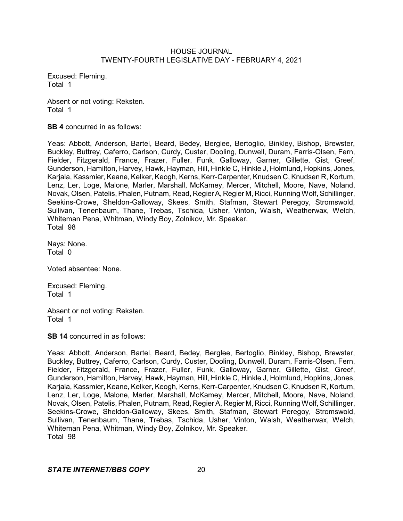Excused: Fleming. Total 1

Absent or not voting: Reksten. Total 1

**SB 4** concurred in as follows:

Yeas: Abbott, Anderson, Bartel, Beard, Bedey, Berglee, Bertoglio, Binkley, Bishop, Brewster, Buckley, Buttrey, Caferro, Carlson, Curdy, Custer, Dooling, Dunwell, Duram, Farris-Olsen, Fern, Fielder, Fitzgerald, France, Frazer, Fuller, Funk, Galloway, Garner, Gillette, Gist, Greef, Gunderson, Hamilton, Harvey, Hawk, Hayman, Hill, Hinkle C, Hinkle J, Holmlund, Hopkins, Jones, Karjala, Kassmier, Keane, Kelker, Keogh, Kerns, Kerr-Carpenter, Knudsen C, Knudsen R, Kortum, Lenz, Ler, Loge, Malone, Marler, Marshall, McKamey, Mercer, Mitchell, Moore, Nave, Noland, Novak, Olsen, Patelis, Phalen, Putnam, Read, RegierA, Regier M, Ricci, Running Wolf, Schillinger, Seekins-Crowe, Sheldon-Galloway, Skees, Smith, Stafman, Stewart Peregoy, Stromswold, Sullivan, Tenenbaum, Thane, Trebas, Tschida, Usher, Vinton, Walsh, Weatherwax, Welch, Whiteman Pena, Whitman, Windy Boy, Zolnikov, Mr. Speaker. Total 98

Nays: None. Total 0

Voted absentee: None.

Excused: Fleming. Total 1

Absent or not voting: Reksten. Total 1

**SB 14** concurred in as follows:

Yeas: Abbott, Anderson, Bartel, Beard, Bedey, Berglee, Bertoglio, Binkley, Bishop, Brewster, Buckley, Buttrey, Caferro, Carlson, Curdy, Custer, Dooling, Dunwell, Duram, Farris-Olsen, Fern, Fielder, Fitzgerald, France, Frazer, Fuller, Funk, Galloway, Garner, Gillette, Gist, Greef, Gunderson, Hamilton, Harvey, Hawk, Hayman, Hill, Hinkle C, Hinkle J, Holmlund, Hopkins, Jones, Karjala, Kassmier, Keane, Kelker, Keogh, Kerns, Kerr-Carpenter, Knudsen C, Knudsen R, Kortum, Lenz, Ler, Loge, Malone, Marler, Marshall, McKamey, Mercer, Mitchell, Moore, Nave, Noland, Novak, Olsen, Patelis, Phalen, Putnam, Read, Regier A, Regier M, Ricci, Running Wolf, Schillinger, Seekins-Crowe, Sheldon-Galloway, Skees, Smith, Stafman, Stewart Peregoy, Stromswold, Sullivan, Tenenbaum, Thane, Trebas, Tschida, Usher, Vinton, Walsh, Weatherwax, Welch, Whiteman Pena, Whitman, Windy Boy, Zolnikov, Mr. Speaker. Total 98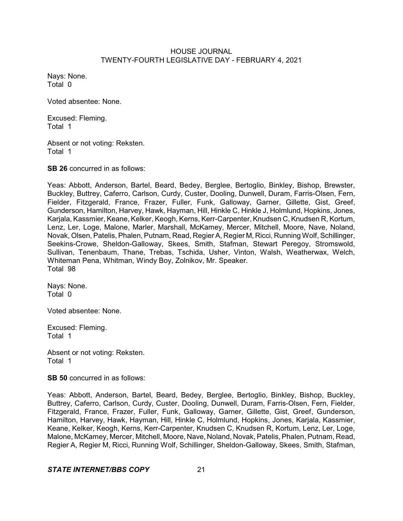Nays: None. Total 0

Voted absentee: None.

Excused: Fleming. Total 1

Absent or not voting: Reksten. Total 1

**SB 26** concurred in as follows:

Yeas: Abbott, Anderson, Bartel, Beard, Bedey, Berglee, Bertoglio, Binkley, Bishop, Brewster, Buckley, Buttrey, Caferro, Carlson, Curdy, Custer, Dooling, Dunwell, Duram, Farris-Olsen, Fern, Fielder, Fitzgerald, France, Frazer, Fuller, Funk, Galloway, Garner, Gillette, Gist, Greef, Gunderson, Hamilton, Harvey, Hawk, Hayman, Hill, Hinkle C, Hinkle J, Holmlund, Hopkins, Jones, Karjala, Kassmier, Keane, Kelker, Keogh, Kerns, Kerr-Carpenter, Knudsen C, Knudsen R, Kortum, Lenz, Ler, Loge, Malone, Marler, Marshall, McKamey, Mercer, Mitchell, Moore, Nave, Noland, Novak, Olsen, Patelis, Phalen, Putnam, Read, Regier A, Regier M, Ricci, Running Wolf, Schillinger, Seekins-Crowe, Sheldon-Galloway, Skees, Smith, Stafman, Stewart Peregoy, Stromswold, Sullivan, Tenenbaum, Thane, Trebas, Tschida, Usher, Vinton, Walsh, Weatherwax, Welch, Whiteman Pena, Whitman, Windy Boy, Zolnikov, Mr. Speaker. Total 98

Nays: None. Total 0

Voted absentee: None.

Excused: Fleming. Total 1

Absent or not voting: Reksten. Total 1

**SB 50** concurred in as follows:

Yeas: Abbott, Anderson, Bartel, Beard, Bedey, Berglee, Bertoglio, Binkley, Bishop, Buckley, Buttrey, Caferro, Carlson, Curdy, Custer, Dooling, Dunwell, Duram, Farris-Olsen, Fern, Fielder, Fitzgerald, France, Frazer, Fuller, Funk, Galloway, Garner, Gillette, Gist, Greef, Gunderson, Hamilton, Harvey, Hawk, Hayman, Hill, Hinkle C, Holmlund, Hopkins, Jones, Karjala, Kassmier, Keane, Kelker, Keogh, Kerns, Kerr-Carpenter, Knudsen C, Knudsen R, Kortum, Lenz, Ler, Loge, Malone, McKamey, Mercer, Mitchell, Moore, Nave, Noland, Novak, Patelis,Phalen, Putnam, Read, Regier A, Regier M, Ricci, Running Wolf, Schillinger, Sheldon-Galloway, Skees, Smith, Stafman,